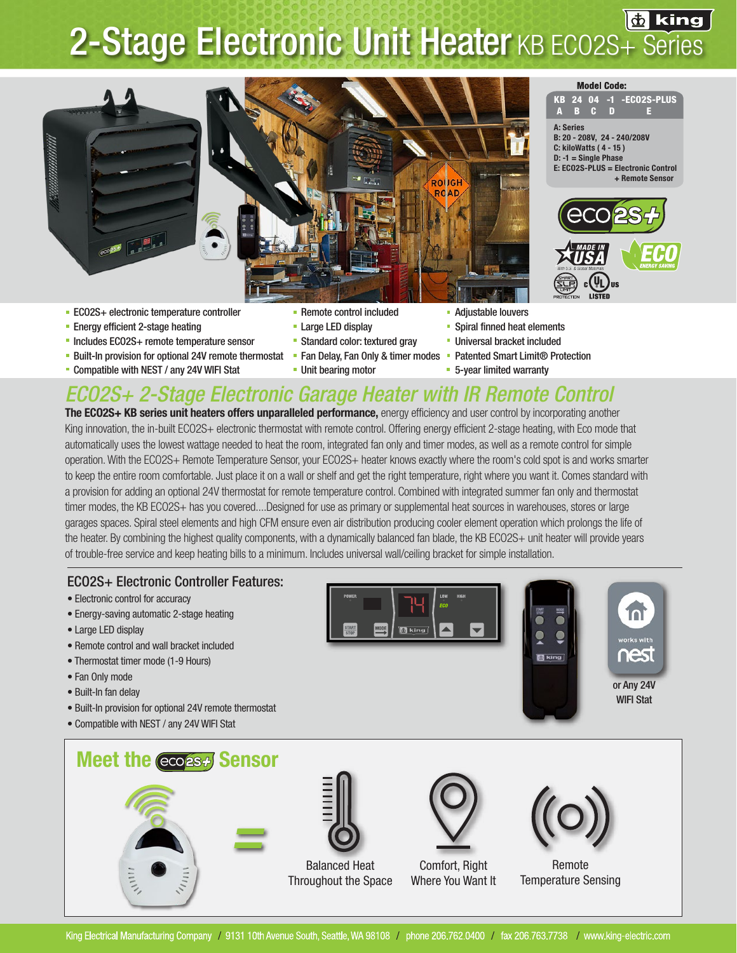## **2-Stage Electronic Unit Heater KB ECO2S+ Series**



- ECO2S+ electronic temperature controller **Remote control included** Adjustable louvers
- Energy efficient 2-stage heating Large LED display Spiral finned heat elements
- " Includes ECO2S+ remote temperature sensor "Standard color: textured gray "Universal bracket included
- Built-In provision for optional 24V remote thermostat Fan Delay, Fan Only & timer modes Patented Smart Limit® Protection
- Compatible with NEST / any 24V WIFI Stat Unit bearing motor **5-year limited warranty**
- 
- 
- 
- -
- 
- 
- 
- 

+ Remote Sensor

A B C D E

**Model Code:** 

### *ECO2S+ 2-Stage Electronic Garage Heater with IR Remote Control*

The ECO2S+ KB series unit heaters offers unparalleled performance, energy efficiency and user control by incorporating another King innovation, the in-built ECO2S+ electronic thermostat with remote control. Offering energy efficient 2-stage heating, with Eco mode that automatically uses the lowest wattage needed to heat the room, integrated fan only and timer modes, as well as a remote control for simple operation. With the ECO2S+ Remote Temperature Sensor, your ECO2S+ heater knows exactly where the room's cold spot is and works smarter to keep the entire room comfortable. Just place it on a wall or shelf and get the right temperature, right where you want it. Comes standard with a provision for adding an optional 24V thermostat for remote temperature control. Combined with integrated summer fan only and thermostat timer modes, the KB ECO2S+ has you covered....Designed for use as primary or supplemental heat sources in warehouses, stores or large garages spaces. Spiral steel elements and high CFM ensure even air distribution producing cooler element operation which prolongs the life of the heater. By combining the highest quality components, with a dynamically balanced fan blade, the KB ECO2S+ unit heater will provide years of trouble-free service and keep heating bills to a minimum. Includes universal wall/ceiling bracket for simple installation.

#### ECO2S+ Electronic Controller Features:

- Electronic control for accuracy
- Energy-saving automatic 2-stage heating
- Large LED display
- Remote control and wall bracket included
- Thermostat timer mode (1-9 Hours)
- Fan Only mode
- Built-In fan delay
- Built-In provision for optional 24V remote thermostat
- Compatible with NEST / any 24V WIFI Stat



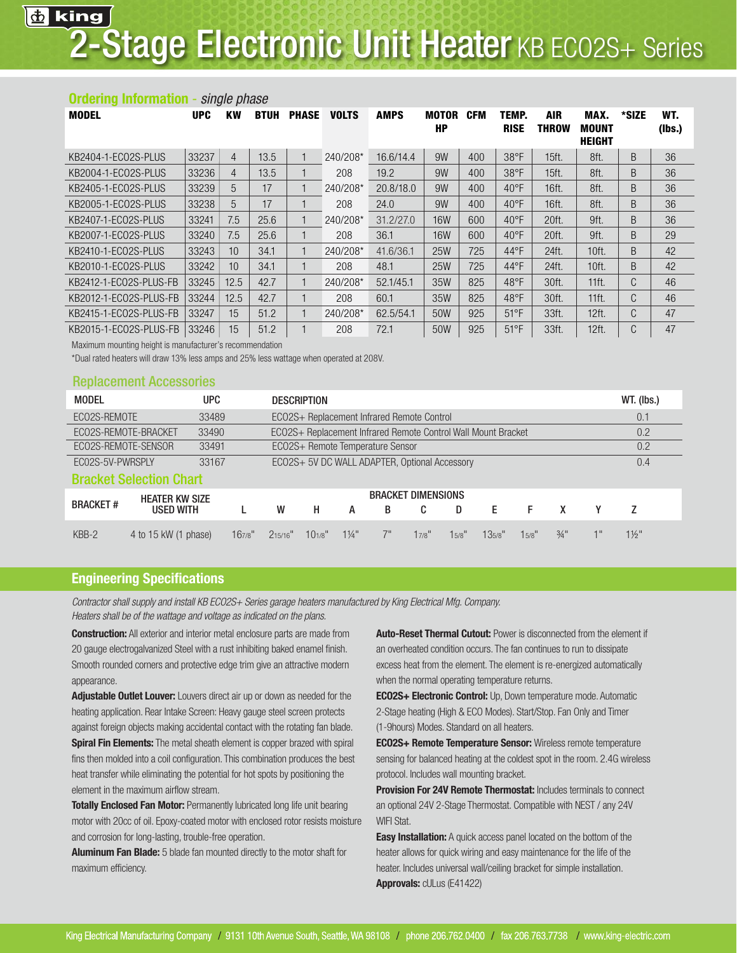#### Ordering Information - *single phase* MODEL UPC KW BTUH PHASE VOLTS AMPS MOTOR CFM TEMP. AIR MAX. \*SIZE WT. HP RISE THROW MOUNT (lbs.) HEIGHT AND A GEORGE AND A GEORGE AND A GEORGE AND A GEORGE AND A GEORGE AND A GEORGE AND A GEORGE AND A GEORGE KB2404-1-ECO2S-PLUS 33237 4 13.5 1 240/208\* 16.6/14.4 9W 400 38°F 15ft. 8ft. B 36 KB2004-1-ECO2S-PLUS 33236 4 13.5 1 208 19.2 9W 400 38°F 15ft. 8ft. B 36 KB2405-1-ECO2S-PLUS 33239 5 17 1 240/208\* 20.8/18.0 9W 400 40°F 16ft. | 8ft. B 36 KB2005-1-ECO2S-PLUS 33238 5 17 1 208 24.0 9W 400 40°F 16ft. 8ft. B 36 KB2407-1-ECO2S-PLUS 33241 7.5 25.6 1 240/208\* 31.2/27.0 16W 600 40°F 20ft. 9ft. B 36 KB2007-1-ECO2S-PLUS 33240 7.5 25.6 1 208 36.1 16W 600 40°F 20ft. 9ft. B 29 KB2410-1-ECO2S-PLUS 33243 10 34.1 1 240/208\* 41.6/36.1 25W 725 44°F 24ft. 10ft. B 42 KB2010-1-ECO2S-PLUS 33242 10 34.1 1 208 48.1 25W 725 44°F 24ft. 10ft. B 42 KB2412-1-ECO2S-PLUS-FB 33245 12.5 42.7 1 240/208\* 52.1/45.1 35W 825 48°F 30ft. 11ft. C 46 KB2012-1-ECO2S-PLUS-FB 33244 12.5 42.7 1 208 60.1 35W 825 48°F 30ft. 11ft. C 46 KB2415-1-ECO2S-PLUS-FB 33247 | 15 | 51.2 | 1 240/208\* 62.5/54.1 | 50W | 925 | 51°F | 33ft. | 12ft. | C | 47 KB2015-1-ECO2S-PLUS-FB 33246 | 15 | 51.2 | 1 | 208 | 72.1 | 50W | 925 | 51°F | 33ft. | 12ft. | C | 47

Maximum mounting height is manufacturer's recommendation

\*Dual rated heaters will draw 13% less amps and 25% less wattage when operated at 208V.

#### Replacement Accessories

| <b>MODEL</b>                   |                                           | <b>UPC</b> |       | <b>DESCRIPTION</b>                                            |                                            |                |    |       |          |        |          |                 |    | $WT.$ (lbs.)     |  |  |
|--------------------------------|-------------------------------------------|------------|-------|---------------------------------------------------------------|--------------------------------------------|----------------|----|-------|----------|--------|----------|-----------------|----|------------------|--|--|
| ECO2S-REMOTE                   |                                           | 33489      |       |                                                               | ECO2S+ Replacement Infrared Remote Control |                |    |       |          |        |          |                 |    |                  |  |  |
| ECO2S-REMOTE-BRACKET           |                                           | 33490      |       | ECO2S+ Replacement Infrared Remote Control Wall Mount Bracket |                                            |                |    |       |          |        |          |                 |    | 0.2              |  |  |
| ECO2S-REMOTE-SENSOR            |                                           | 33491      |       | ECO2S+ Remote Temperature Sensor                              |                                            |                |    |       |          |        |          |                 |    | 0.2              |  |  |
| EC02S-5V-PWRSPLY               |                                           | 33167      |       | ECO2S+ 5V DC WALL ADAPTER, Optional Accessory                 |                                            |                |    |       |          |        |          |                 |    | 0.4              |  |  |
| <b>Bracket Selection Chart</b> |                                           |            |       |                                                               |                                            |                |    |       |          |        |          |                 |    |                  |  |  |
|                                | <b>HEATER KW SIZE</b><br><b>USED WITH</b> |            |       | <b>BRACKET DIMENSIONS</b>                                     |                                            |                |    |       |          |        |          |                 |    |                  |  |  |
| <b>BRACKET#</b>                |                                           |            |       | W                                                             | н                                          | А              | B  | C     | D        | E      | F.       | X               |    |                  |  |  |
| $KBB-2$                        | 4 to 15 kW (1 phase)                      |            | 167/8 | 215/16"                                                       | $10^{1/8}$                                 | $1\frac{1}{4}$ | 7" | 17/8" | $15/8$ " | 135/8" | $15/8$ " | $\frac{3}{4}$ " | 1" | $1\frac{1}{2}$ " |  |  |

#### Engineering Specifications

*Contractor shall supply and install KB ECO2S+ Series garage heaters manufactured by King Electrical Mfg. Company. Heaters shall be of the wattage and voltage as indicated on the plans.* 

**Construction:** All exterior and interior metal enclosure parts are made from 20 gauge electrogalvanized Steel with a rust inhibiting baked enamel finish. Smooth rounded corners and protective edge trim give an attractive modern appearance.

Adjustable Outlet Louver: Louvers direct air up or down as needed for the heating application. Rear Intake Screen: Heavy gauge steel screen protects against foreign objects making accidental contact with the rotating fan blade.

**Spiral Fin Elements:** The metal sheath element is copper brazed with spiral fins then molded into a coil configuration. This combination produces the best heat transfer while eliminating the potential for hot spots by positioning the element in the maximum airflow stream.

**Totally Enclosed Fan Motor: Permanently lubricated long life unit bearing** motor with 20cc of oil. Epoxy-coated motor with enclosed rotor resists moisture and corrosion for long-lasting, trouble-free operation.

Aluminum Fan Blade: 5 blade fan mounted directly to the motor shaft for maximum efficiency.

Auto-Reset Thermal Cutout: Power is disconnected from the element if an overheated condition occurs. The fan continues to run to dissipate excess heat from the element. The element is re-energized automatically when the normal operating temperature returns.

ECO2S+ Electronic Control: Up, Down temperature mode. Automatic 2-Stage heating (High & ECO Modes). Start/Stop. Fan Only and Timer (1-9hours) Modes. Standard on all heaters.

ECO2S+ Remote Temperature Sensor: Wireless remote temperature sensing for balanced heating at the coldest spot in the room. 2.4G wireless protocol. Includes wall mounting bracket.

Provision For 24V Remote Thermostat: Includes terminals to connect an optional 24V 2-Stage Thermostat. Compatible with NEST / any 24V WIFI Stat.

**Easy Installation:** A quick access panel located on the bottom of the heater allows for quick wiring and easy maintenance for the life of the heater. Includes universal wall/ceiling bracket for simple installation. Approvals: cULus (E41422)